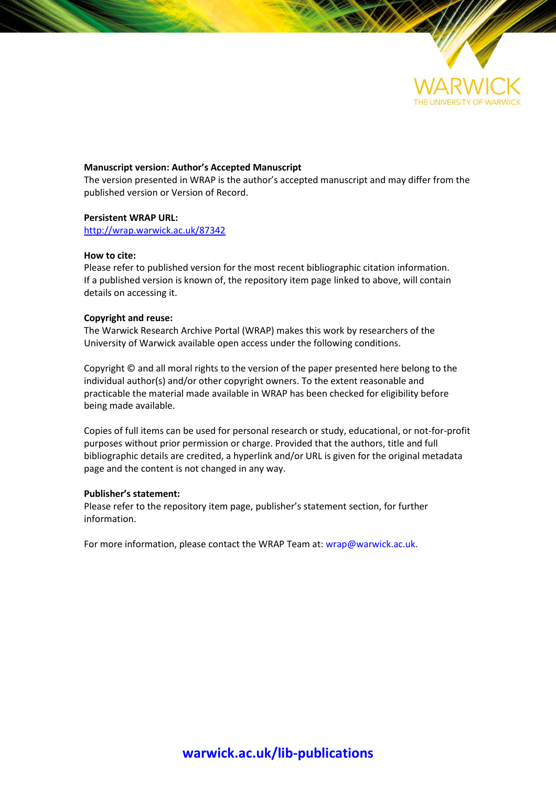

#### **Manuscript version: Author's Accepted Manuscript**

The version presented in WRAP is the author's accepted manuscript and may differ from the published version or Version of Record.

#### **Persistent WRAP URL:**

<http://wrap.warwick.ac.uk/87342>

#### **How to cite:**

Please refer to published version for the most recent bibliographic citation information. If a published version is known of, the repository item page linked to above, will contain details on accessing it.

#### **Copyright and reuse:**

The Warwick Research Archive Portal (WRAP) makes this work by researchers of the University of Warwick available open access under the following conditions.

Copyright © and all moral rights to the version of the paper presented here belong to the individual author(s) and/or other copyright owners. To the extent reasonable and practicable the material made available in WRAP has been checked for eligibility before being made available.

Copies of full items can be used for personal research or study, educational, or not-for-profit purposes without prior permission or charge. Provided that the authors, title and full bibliographic details are credited, a hyperlink and/or URL is given for the original metadata page and the content is not changed in any way.

#### **Publisher's statement:**

Please refer to the repository item page, publisher's statement section, for further information.

For more information, please contact the WRAP Team at[: wrap@warwick.ac.uk.](mailto:wrap@warwick.ac.uk)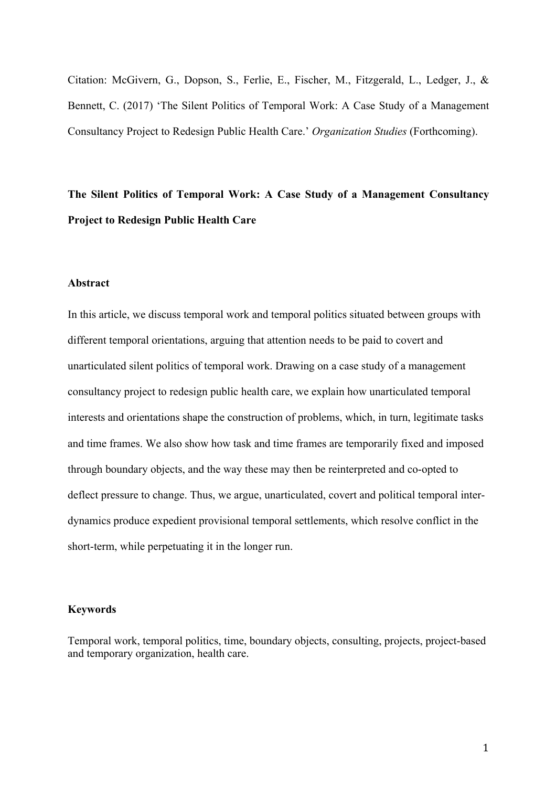Citation: McGivern, G., Dopson, S., Ferlie, E., Fischer, M., Fitzgerald, L., Ledger, J., & Bennett, C. (2017) 'The Silent Politics of Temporal Work: A Case Study of a Management Consultancy Project to Redesign Public Health Care.' *Organization Studies* (Forthcoming).

# **The Silent Politics of Temporal Work: A Case Study of a Management Consultancy Project to Redesign Public Health Care**

# **Abstract**

In this article, we discuss temporal work and temporal politics situated between groups with different temporal orientations, arguing that attention needs to be paid to covert and unarticulated silent politics of temporal work. Drawing on a case study of a management consultancy project to redesign public health care, we explain how unarticulated temporal interests and orientations shape the construction of problems, which, in turn, legitimate tasks and time frames. We also show how task and time frames are temporarily fixed and imposed through boundary objects, and the way these may then be reinterpreted and co-opted to deflect pressure to change. Thus, we argue, unarticulated, covert and political temporal interdynamics produce expedient provisional temporal settlements, which resolve conflict in the short-term, while perpetuating it in the longer run.

# **Keywords**

Temporal work, temporal politics, time, boundary objects, consulting, projects, project-based and temporary organization, health care.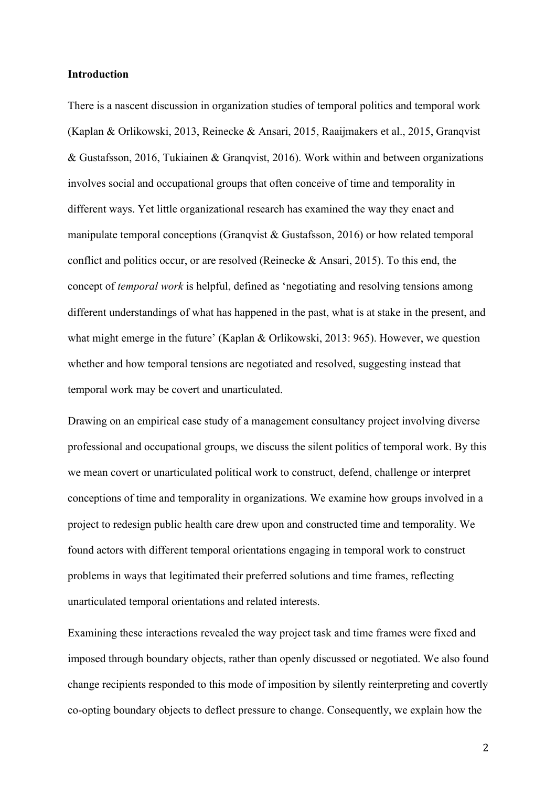# **Introduction**

There is a nascent discussion in organization studies of temporal politics and temporal work (Kaplan & Orlikowski, 2013, Reinecke & Ansari, 2015, Raaijmakers et al., 2015, Granqvist & Gustafsson, 2016, Tukiainen & Granqvist, 2016). Work within and between organizations involves social and occupational groups that often conceive of time and temporality in different ways. Yet little organizational research has examined the way they enact and manipulate temporal conceptions (Granqvist & Gustafsson, 2016) or how related temporal conflict and politics occur, or are resolved (Reinecke & Ansari, 2015). To this end, the concept of *temporal work* is helpful, defined as 'negotiating and resolving tensions among different understandings of what has happened in the past, what is at stake in the present, and what might emerge in the future' (Kaplan & Orlikowski, 2013: 965). However, we question whether and how temporal tensions are negotiated and resolved, suggesting instead that temporal work may be covert and unarticulated.

Drawing on an empirical case study of a management consultancy project involving diverse professional and occupational groups, we discuss the silent politics of temporal work. By this we mean covert or unarticulated political work to construct, defend, challenge or interpret conceptions of time and temporality in organizations. We examine how groups involved in a project to redesign public health care drew upon and constructed time and temporality. We found actors with different temporal orientations engaging in temporal work to construct problems in ways that legitimated their preferred solutions and time frames, reflecting unarticulated temporal orientations and related interests.

Examining these interactions revealed the way project task and time frames were fixed and imposed through boundary objects, rather than openly discussed or negotiated. We also found change recipients responded to this mode of imposition by silently reinterpreting and covertly co-opting boundary objects to deflect pressure to change. Consequently, we explain how the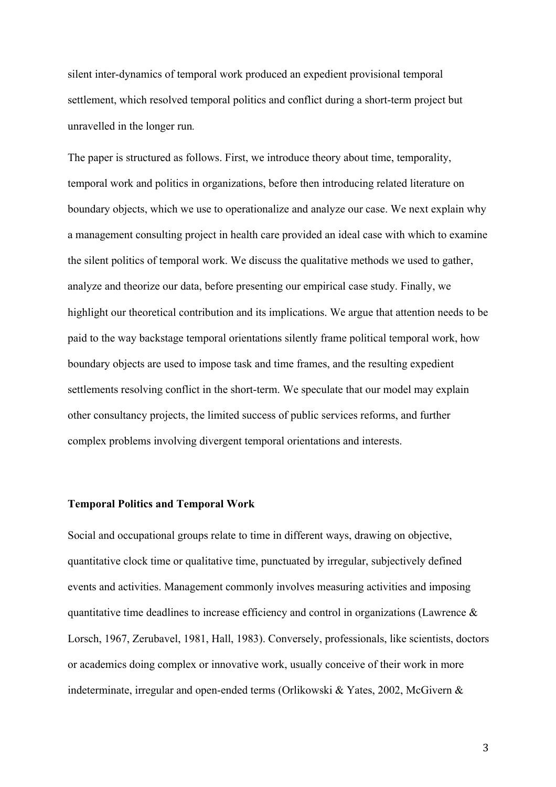silent inter-dynamics of temporal work produced an expedient provisional temporal settlement, which resolved temporal politics and conflict during a short-term project but unravelled in the longer run*.* 

The paper is structured as follows. First, we introduce theory about time, temporality, temporal work and politics in organizations, before then introducing related literature on boundary objects, which we use to operationalize and analyze our case. We next explain why a management consulting project in health care provided an ideal case with which to examine the silent politics of temporal work. We discuss the qualitative methods we used to gather, analyze and theorize our data, before presenting our empirical case study. Finally, we highlight our theoretical contribution and its implications. We argue that attention needs to be paid to the way backstage temporal orientations silently frame political temporal work, how boundary objects are used to impose task and time frames, and the resulting expedient settlements resolving conflict in the short-term. We speculate that our model may explain other consultancy projects, the limited success of public services reforms, and further complex problems involving divergent temporal orientations and interests.

# **Temporal Politics and Temporal Work**

Social and occupational groups relate to time in different ways, drawing on objective, quantitative clock time or qualitative time, punctuated by irregular, subjectively defined events and activities. Management commonly involves measuring activities and imposing quantitative time deadlines to increase efficiency and control in organizations (Lawrence  $\&$ Lorsch, 1967, Zerubavel, 1981, Hall, 1983). Conversely, professionals, like scientists, doctors or academics doing complex or innovative work, usually conceive of their work in more indeterminate, irregular and open-ended terms (Orlikowski & Yates, 2002, McGivern &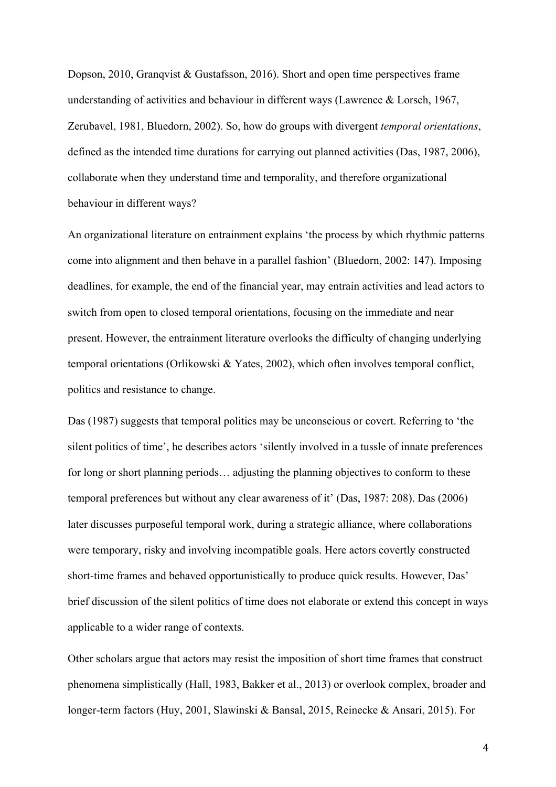Dopson, 2010, Granqvist & Gustafsson, 2016). Short and open time perspectives frame understanding of activities and behaviour in different ways (Lawrence & Lorsch, 1967, Zerubavel, 1981, Bluedorn, 2002). So, how do groups with divergent *temporal orientations*, defined as the intended time durations for carrying out planned activities (Das, 1987, 2006), collaborate when they understand time and temporality, and therefore organizational behaviour in different ways?

An organizational literature on entrainment explains 'the process by which rhythmic patterns come into alignment and then behave in a parallel fashion' (Bluedorn, 2002: 147). Imposing deadlines, for example, the end of the financial year, may entrain activities and lead actors to switch from open to closed temporal orientations, focusing on the immediate and near present. However, the entrainment literature overlooks the difficulty of changing underlying temporal orientations (Orlikowski & Yates, 2002), which often involves temporal conflict, politics and resistance to change.

Das (1987) suggests that temporal politics may be unconscious or covert. Referring to 'the silent politics of time', he describes actors 'silently involved in a tussle of innate preferences for long or short planning periods… adjusting the planning objectives to conform to these temporal preferences but without any clear awareness of it' (Das, 1987: 208). Das (2006) later discusses purposeful temporal work, during a strategic alliance, where collaborations were temporary, risky and involving incompatible goals. Here actors covertly constructed short-time frames and behaved opportunistically to produce quick results. However, Das' brief discussion of the silent politics of time does not elaborate or extend this concept in ways applicable to a wider range of contexts.

Other scholars argue that actors may resist the imposition of short time frames that construct phenomena simplistically (Hall, 1983, Bakker et al., 2013) or overlook complex, broader and longer-term factors (Huy, 2001, Slawinski & Bansal, 2015, Reinecke & Ansari, 2015). For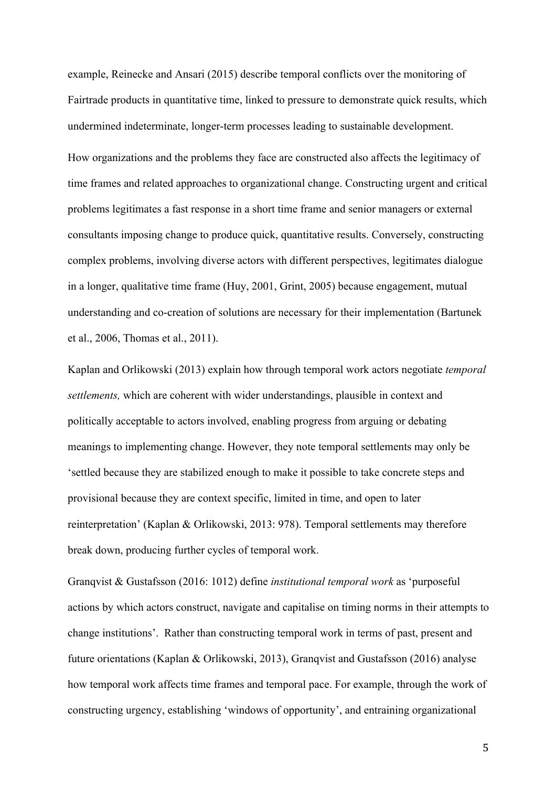example, Reinecke and Ansari (2015) describe temporal conflicts over the monitoring of Fairtrade products in quantitative time, linked to pressure to demonstrate quick results, which undermined indeterminate, longer-term processes leading to sustainable development. How organizations and the problems they face are constructed also affects the legitimacy of time frames and related approaches to organizational change. Constructing urgent and critical problems legitimates a fast response in a short time frame and senior managers or external consultants imposing change to produce quick, quantitative results. Conversely, constructing complex problems, involving diverse actors with different perspectives, legitimates dialogue in a longer, qualitative time frame (Huy, 2001, Grint, 2005) because engagement, mutual understanding and co-creation of solutions are necessary for their implementation (Bartunek et al., 2006, Thomas et al., 2011).

Kaplan and Orlikowski (2013) explain how through temporal work actors negotiate *temporal settlements,* which are coherent with wider understandings, plausible in context and politically acceptable to actors involved, enabling progress from arguing or debating meanings to implementing change. However, they note temporal settlements may only be 'settled because they are stabilized enough to make it possible to take concrete steps and provisional because they are context specific, limited in time, and open to later reinterpretation' (Kaplan & Orlikowski, 2013: 978). Temporal settlements may therefore break down, producing further cycles of temporal work.

Granqvist & Gustafsson (2016: 1012) define *institutional temporal work* as 'purposeful actions by which actors construct, navigate and capitalise on timing norms in their attempts to change institutions'. Rather than constructing temporal work in terms of past, present and future orientations (Kaplan & Orlikowski, 2013), Granqvist and Gustafsson (2016) analyse how temporal work affects time frames and temporal pace. For example, through the work of constructing urgency, establishing 'windows of opportunity', and entraining organizational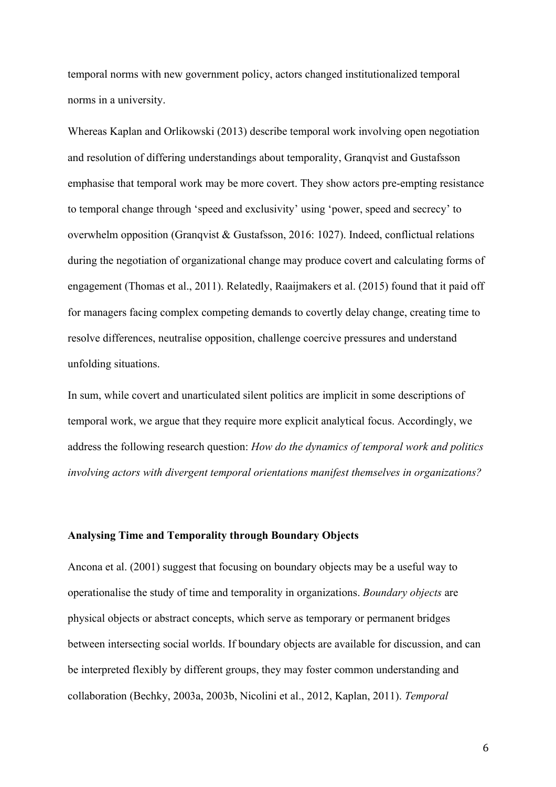temporal norms with new government policy, actors changed institutionalized temporal norms in a university.

Whereas Kaplan and Orlikowski (2013) describe temporal work involving open negotiation and resolution of differing understandings about temporality, Granqvist and Gustafsson emphasise that temporal work may be more covert. They show actors pre-empting resistance to temporal change through 'speed and exclusivity' using 'power, speed and secrecy' to overwhelm opposition (Granqvist & Gustafsson, 2016: 1027). Indeed, conflictual relations during the negotiation of organizational change may produce covert and calculating forms of engagement (Thomas et al., 2011). Relatedly, Raaijmakers et al. (2015) found that it paid off for managers facing complex competing demands to covertly delay change, creating time to resolve differences, neutralise opposition, challenge coercive pressures and understand unfolding situations.

In sum, while covert and unarticulated silent politics are implicit in some descriptions of temporal work, we argue that they require more explicit analytical focus. Accordingly, we address the following research question: *How do the dynamics of temporal work and politics involving actors with divergent temporal orientations manifest themselves in organizations?* 

# **Analysing Time and Temporality through Boundary Objects**

Ancona et al. (2001) suggest that focusing on boundary objects may be a useful way to operationalise the study of time and temporality in organizations. *Boundary objects* are physical objects or abstract concepts, which serve as temporary or permanent bridges between intersecting social worlds. If boundary objects are available for discussion, and can be interpreted flexibly by different groups, they may foster common understanding and collaboration (Bechky, 2003a, 2003b, Nicolini et al., 2012, Kaplan, 2011). *Temporal*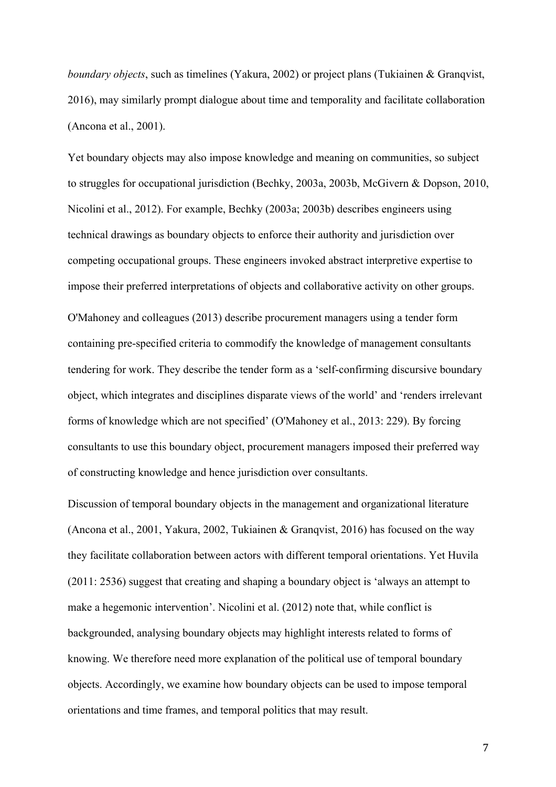*boundary objects*, such as timelines (Yakura, 2002) or project plans (Tukiainen & Granqvist, 2016), may similarly prompt dialogue about time and temporality and facilitate collaboration (Ancona et al., 2001).

Yet boundary objects may also impose knowledge and meaning on communities, so subject to struggles for occupational jurisdiction (Bechky, 2003a, 2003b, McGivern & Dopson, 2010, Nicolini et al., 2012). For example, Bechky (2003a; 2003b) describes engineers using technical drawings as boundary objects to enforce their authority and jurisdiction over competing occupational groups. These engineers invoked abstract interpretive expertise to impose their preferred interpretations of objects and collaborative activity on other groups. O'Mahoney and colleagues (2013) describe procurement managers using a tender form containing pre-specified criteria to commodify the knowledge of management consultants tendering for work. They describe the tender form as a 'self-confirming discursive boundary object, which integrates and disciplines disparate views of the world' and 'renders irrelevant forms of knowledge which are not specified' (O'Mahoney et al., 2013: 229). By forcing consultants to use this boundary object, procurement managers imposed their preferred way of constructing knowledge and hence jurisdiction over consultants.

Discussion of temporal boundary objects in the management and organizational literature (Ancona et al., 2001, Yakura, 2002, Tukiainen & Granqvist, 2016) has focused on the way they facilitate collaboration between actors with different temporal orientations. Yet Huvila (2011: 2536) suggest that creating and shaping a boundary object is 'always an attempt to make a hegemonic intervention'. Nicolini et al. (2012) note that, while conflict is backgrounded, analysing boundary objects may highlight interests related to forms of knowing. We therefore need more explanation of the political use of temporal boundary objects. Accordingly, we examine how boundary objects can be used to impose temporal orientations and time frames, and temporal politics that may result.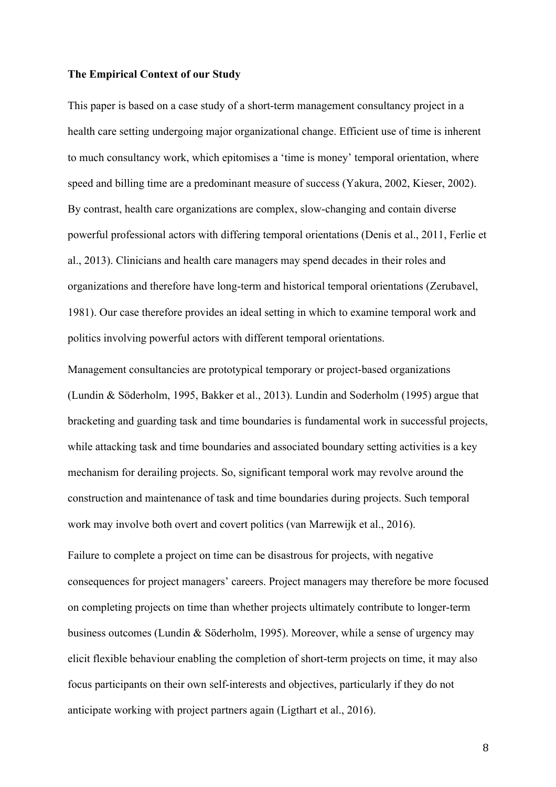### **The Empirical Context of our Study**

This paper is based on a case study of a short-term management consultancy project in a health care setting undergoing major organizational change. Efficient use of time is inherent to much consultancy work, which epitomises a 'time is money' temporal orientation, where speed and billing time are a predominant measure of success (Yakura, 2002, Kieser, 2002). By contrast, health care organizations are complex, slow-changing and contain diverse powerful professional actors with differing temporal orientations (Denis et al., 2011, Ferlie et al., 2013). Clinicians and health care managers may spend decades in their roles and organizations and therefore have long-term and historical temporal orientations (Zerubavel, 1981). Our case therefore provides an ideal setting in which to examine temporal work and politics involving powerful actors with different temporal orientations.

Management consultancies are prototypical temporary or project-based organizations (Lundin & Söderholm, 1995, Bakker et al., 2013). Lundin and Soderholm (1995) argue that bracketing and guarding task and time boundaries is fundamental work in successful projects, while attacking task and time boundaries and associated boundary setting activities is a key mechanism for derailing projects. So, significant temporal work may revolve around the construction and maintenance of task and time boundaries during projects. Such temporal work may involve both overt and covert politics (van Marrewijk et al., 2016).

Failure to complete a project on time can be disastrous for projects, with negative consequences for project managers' careers. Project managers may therefore be more focused on completing projects on time than whether projects ultimately contribute to longer-term business outcomes (Lundin & Söderholm, 1995). Moreover, while a sense of urgency may elicit flexible behaviour enabling the completion of short-term projects on time, it may also focus participants on their own self-interests and objectives, particularly if they do not anticipate working with project partners again (Ligthart et al., 2016).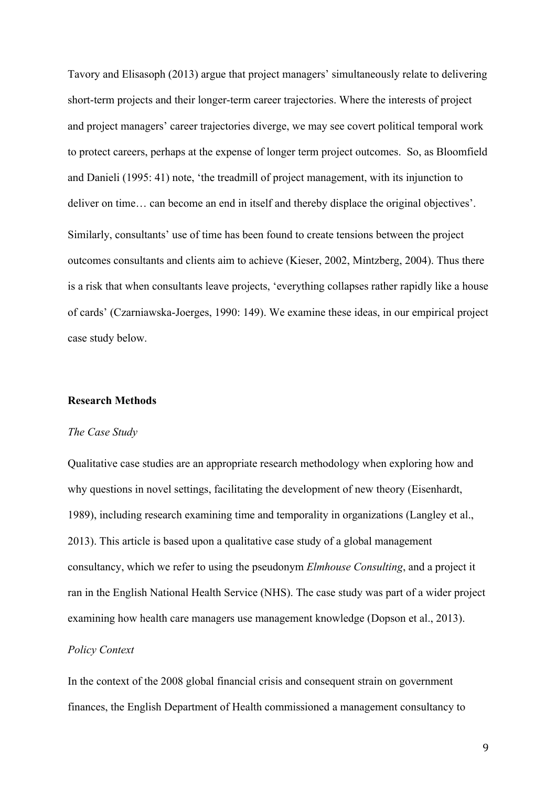Tavory and Elisasoph (2013) argue that project managers' simultaneously relate to delivering short-term projects and their longer-term career trajectories. Where the interests of project and project managers' career trajectories diverge, we may see covert political temporal work to protect careers, perhaps at the expense of longer term project outcomes. So, as Bloomfield and Danieli (1995: 41) note, 'the treadmill of project management, with its injunction to deliver on time… can become an end in itself and thereby displace the original objectives'. Similarly, consultants' use of time has been found to create tensions between the project outcomes consultants and clients aim to achieve (Kieser, 2002, Mintzberg, 2004). Thus there is a risk that when consultants leave projects, 'everything collapses rather rapidly like a house of cards' (Czarniawska-Joerges, 1990: 149). We examine these ideas, in our empirical project case study below.

# **Research Methods**

#### *The Case Study*

Qualitative case studies are an appropriate research methodology when exploring how and why questions in novel settings, facilitating the development of new theory (Eisenhardt, 1989), including research examining time and temporality in organizations (Langley et al., 2013). This article is based upon a qualitative case study of a global management consultancy, which we refer to using the pseudonym *Elmhouse Consulting*, and a project it ran in the English National Health Service (NHS). The case study was part of a wider project examining how health care managers use management knowledge (Dopson et al., 2013).

# *Policy Context*

In the context of the 2008 global financial crisis and consequent strain on government finances, the English Department of Health commissioned a management consultancy to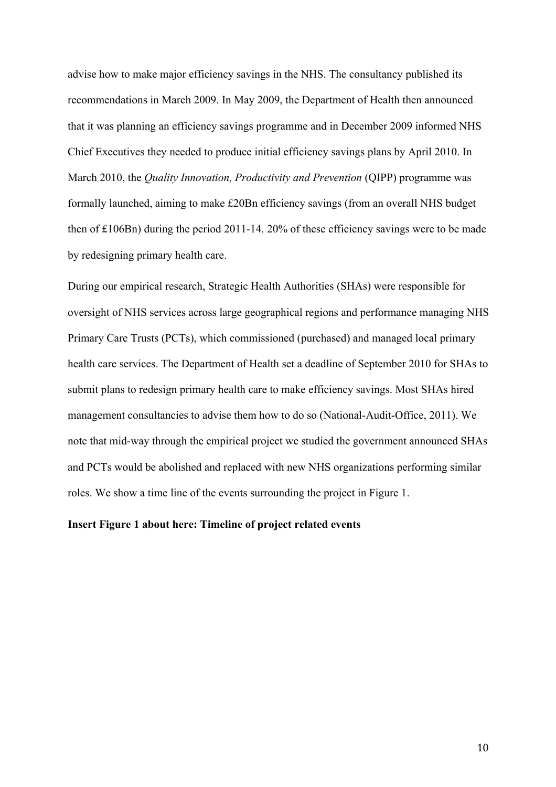advise how to make major efficiency savings in the NHS. The consultancy published its recommendations in March 2009. In May 2009, the Department of Health then announced that it was planning an efficiency savings programme and in December 2009 informed NHS Chief Executives they needed to produce initial efficiency savings plans by April 2010. In March 2010, the *Quality Innovation, Productivity and Prevention* (QIPP) programme was formally launched, aiming to make £20Bn efficiency savings (from an overall NHS budget then of £106Bn) during the period 2011-14. 20% of these efficiency savings were to be made by redesigning primary health care.

During our empirical research, Strategic Health Authorities (SHAs) were responsible for oversight of NHS services across large geographical regions and performance managing NHS Primary Care Trusts (PCTs), which commissioned (purchased) and managed local primary health care services. The Department of Health set a deadline of September 2010 for SHAs to submit plans to redesign primary health care to make efficiency savings. Most SHAs hired management consultancies to advise them how to do so (National-Audit-Office, 2011). We note that mid-way through the empirical project we studied the government announced SHAs and PCTs would be abolished and replaced with new NHS organizations performing similar roles. We show a time line of the events surrounding the project in Figure 1.

# **Insert Figure 1 about here: Timeline of project related events**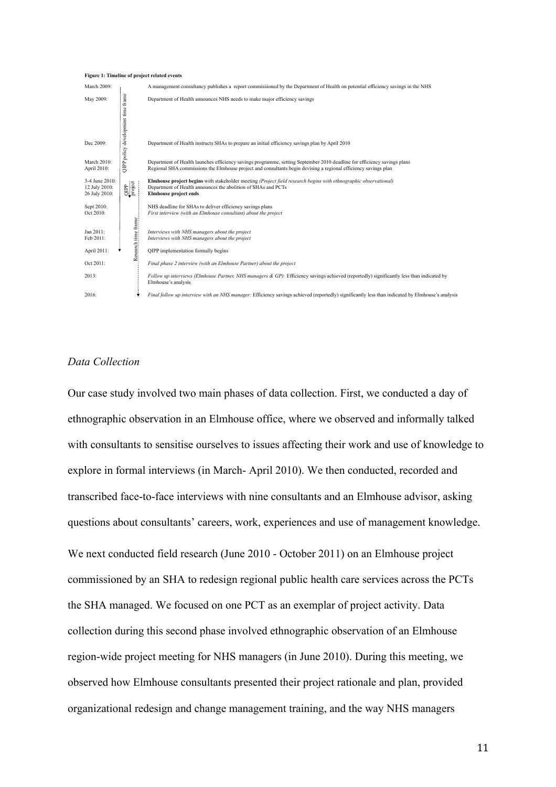#### **Figure 1: Timeline of project related events**



# *Data Collection*

Our case study involved two main phases of data collection. First, we conducted a day of ethnographic observation in an Elmhouse office, where we observed and informally talked with consultants to sensitise ourselves to issues affecting their work and use of knowledge to explore in formal interviews (in March- April 2010). We then conducted, recorded and transcribed face-to-face interviews with nine consultants and an Elmhouse advisor, asking questions about consultants' careers, work, experiences and use of management knowledge. We next conducted field research (June 2010 - October 2011) on an Elmhouse project commissioned by an SHA to redesign regional public health care services across the PCTs the SHA managed. We focused on one PCT as an exemplar of project activity. Data collection during this second phase involved ethnographic observation of an Elmhouse region-wide project meeting for NHS managers (in June 2010). During this meeting, we observed how Elmhouse consultants presented their project rationale and plan, provided organizational redesign and change management training, and the way NHS managers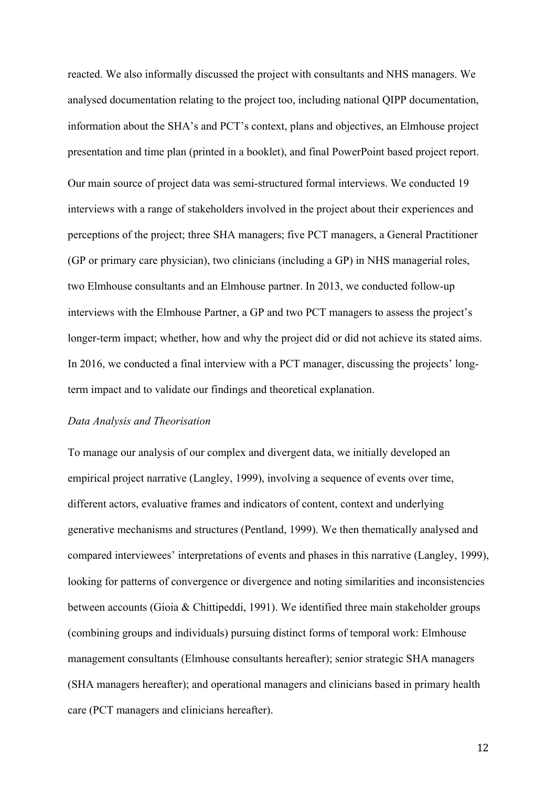reacted. We also informally discussed the project with consultants and NHS managers. We analysed documentation relating to the project too, including national QIPP documentation, information about the SHA's and PCT's context, plans and objectives, an Elmhouse project presentation and time plan (printed in a booklet), and final PowerPoint based project report. Our main source of project data was semi-structured formal interviews. We conducted 19 interviews with a range of stakeholders involved in the project about their experiences and perceptions of the project; three SHA managers; five PCT managers, a General Practitioner (GP or primary care physician), two clinicians (including a GP) in NHS managerial roles, two Elmhouse consultants and an Elmhouse partner. In 2013, we conducted follow-up interviews with the Elmhouse Partner, a GP and two PCT managers to assess the project's longer-term impact; whether, how and why the project did or did not achieve its stated aims. In 2016, we conducted a final interview with a PCT manager, discussing the projects' longterm impact and to validate our findings and theoretical explanation.

# *Data Analysis and Theorisation*

To manage our analysis of our complex and divergent data, we initially developed an empirical project narrative (Langley, 1999), involving a sequence of events over time, different actors, evaluative frames and indicators of content, context and underlying generative mechanisms and structures (Pentland, 1999). We then thematically analysed and compared interviewees' interpretations of events and phases in this narrative (Langley, 1999), looking for patterns of convergence or divergence and noting similarities and inconsistencies between accounts (Gioia & Chittipeddi, 1991). We identified three main stakeholder groups (combining groups and individuals) pursuing distinct forms of temporal work: Elmhouse management consultants (Elmhouse consultants hereafter); senior strategic SHA managers (SHA managers hereafter); and operational managers and clinicians based in primary health care (PCT managers and clinicians hereafter).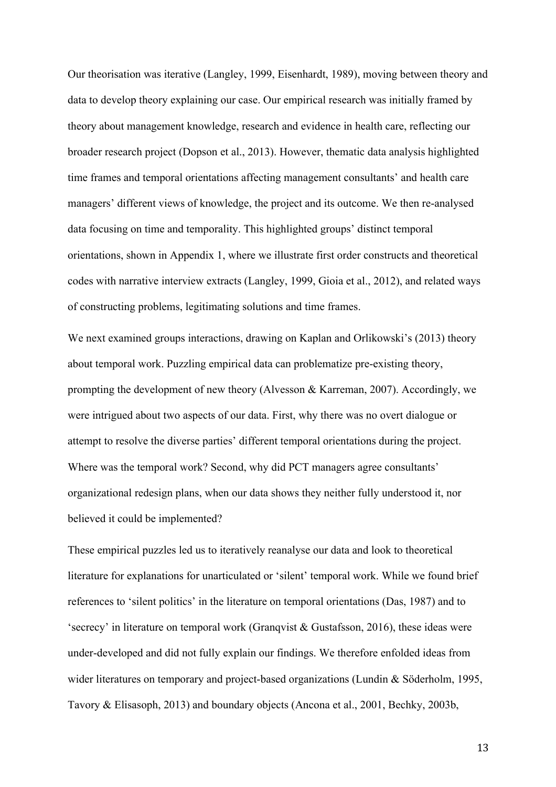Our theorisation was iterative (Langley, 1999, Eisenhardt, 1989), moving between theory and data to develop theory explaining our case. Our empirical research was initially framed by theory about management knowledge, research and evidence in health care, reflecting our broader research project (Dopson et al., 2013). However, thematic data analysis highlighted time frames and temporal orientations affecting management consultants' and health care managers' different views of knowledge, the project and its outcome. We then re-analysed data focusing on time and temporality. This highlighted groups' distinct temporal orientations, shown in Appendix 1, where we illustrate first order constructs and theoretical codes with narrative interview extracts (Langley, 1999, Gioia et al., 2012), and related ways of constructing problems, legitimating solutions and time frames.

We next examined groups interactions, drawing on Kaplan and Orlikowski's (2013) theory about temporal work. Puzzling empirical data can problematize pre-existing theory, prompting the development of new theory (Alvesson & Karreman, 2007). Accordingly, we were intrigued about two aspects of our data. First, why there was no overt dialogue or attempt to resolve the diverse parties' different temporal orientations during the project. Where was the temporal work? Second, why did PCT managers agree consultants' organizational redesign plans, when our data shows they neither fully understood it, nor believed it could be implemented?

These empirical puzzles led us to iteratively reanalyse our data and look to theoretical literature for explanations for unarticulated or 'silent' temporal work. While we found brief references to 'silent politics' in the literature on temporal orientations (Das, 1987) and to 'secrecy' in literature on temporal work (Granqvist & Gustafsson, 2016), these ideas were under-developed and did not fully explain our findings. We therefore enfolded ideas from wider literatures on temporary and project-based organizations (Lundin & Söderholm, 1995, Tavory & Elisasoph, 2013) and boundary objects (Ancona et al., 2001, Bechky, 2003b,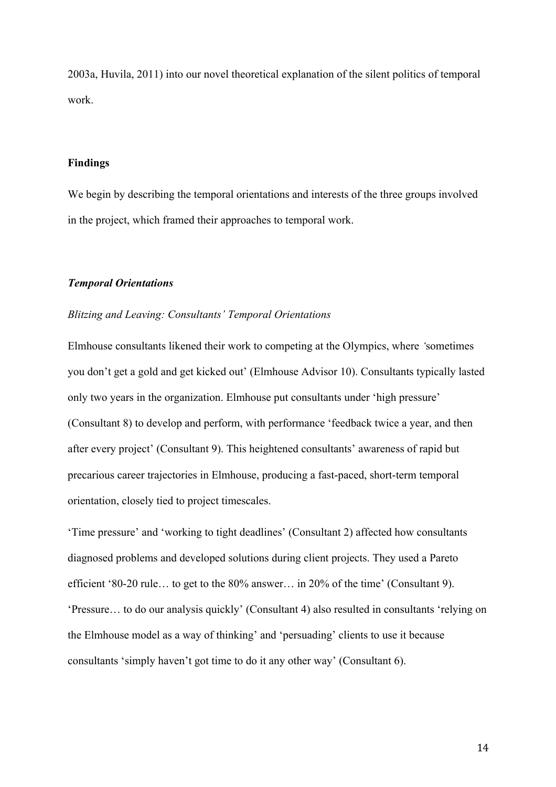2003a, Huvila, 2011) into our novel theoretical explanation of the silent politics of temporal work.

# **Findings**

We begin by describing the temporal orientations and interests of the three groups involved in the project, which framed their approaches to temporal work.

# *Temporal Orientations*

# *Blitzing and Leaving: Consultants' Temporal Orientations*

Elmhouse consultants likened their work to competing at the Olympics, where *'*sometimes you don't get a gold and get kicked out' (Elmhouse Advisor 10). Consultants typically lasted only two years in the organization. Elmhouse put consultants under 'high pressure' (Consultant 8) to develop and perform, with performance 'feedback twice a year, and then after every project' (Consultant 9). This heightened consultants' awareness of rapid but precarious career trajectories in Elmhouse, producing a fast-paced, short-term temporal orientation, closely tied to project timescales.

'Time pressure' and 'working to tight deadlines' (Consultant 2) affected how consultants diagnosed problems and developed solutions during client projects. They used a Pareto efficient '80-20 rule… to get to the 80% answer… in 20% of the time' (Consultant 9). 'Pressure… to do our analysis quickly' (Consultant 4) also resulted in consultants 'relying on the Elmhouse model as a way of thinking' and 'persuading' clients to use it because consultants 'simply haven't got time to do it any other way' (Consultant 6).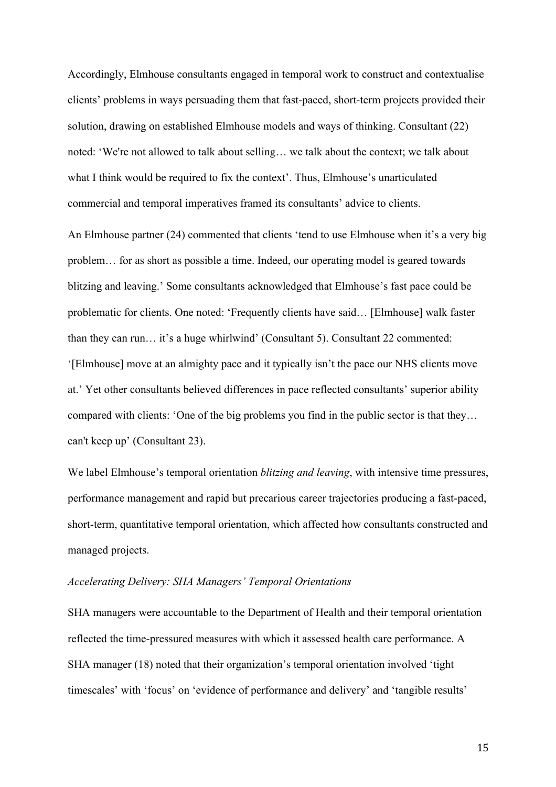Accordingly, Elmhouse consultants engaged in temporal work to construct and contextualise clients' problems in ways persuading them that fast-paced, short-term projects provided their solution, drawing on established Elmhouse models and ways of thinking. Consultant (22) noted: 'We're not allowed to talk about selling… we talk about the context; we talk about what I think would be required to fix the context'. Thus, Elmhouse's unarticulated commercial and temporal imperatives framed its consultants' advice to clients.

An Elmhouse partner (24) commented that clients 'tend to use Elmhouse when it's a very big problem… for as short as possible a time. Indeed, our operating model is geared towards blitzing and leaving.' Some consultants acknowledged that Elmhouse's fast pace could be problematic for clients. One noted: 'Frequently clients have said… [Elmhouse] walk faster than they can run… it's a huge whirlwind' (Consultant 5). Consultant 22 commented: '[Elmhouse] move at an almighty pace and it typically isn't the pace our NHS clients move at.' Yet other consultants believed differences in pace reflected consultants' superior ability compared with clients: 'One of the big problems you find in the public sector is that they… can't keep up' (Consultant 23).

We label Elmhouse's temporal orientation *blitzing and leaving*, with intensive time pressures, performance management and rapid but precarious career trajectories producing a fast-paced, short-term, quantitative temporal orientation, which affected how consultants constructed and managed projects.

## *Accelerating Delivery: SHA Managers' Temporal Orientations*

SHA managers were accountable to the Department of Health and their temporal orientation reflected the time-pressured measures with which it assessed health care performance. A SHA manager (18) noted that their organization's temporal orientation involved 'tight timescales' with 'focus' on 'evidence of performance and delivery' and 'tangible results'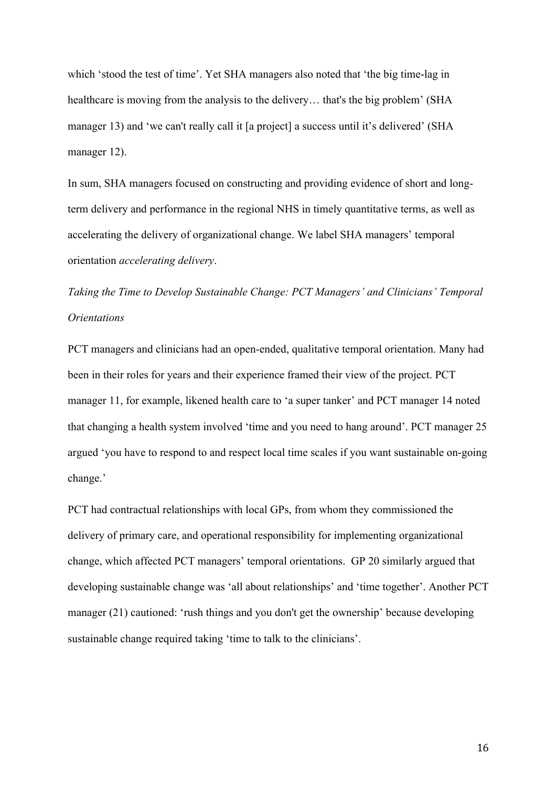which 'stood the test of time'. Yet SHA managers also noted that 'the big time-lag in healthcare is moving from the analysis to the delivery… that's the big problem' (SHA manager 13) and 'we can't really call it [a project] a success until it's delivered' (SHA manager 12).

In sum, SHA managers focused on constructing and providing evidence of short and longterm delivery and performance in the regional NHS in timely quantitative terms, as well as accelerating the delivery of organizational change. We label SHA managers' temporal orientation *accelerating delivery*.

*Taking the Time to Develop Sustainable Change: PCT Managers' and Clinicians' Temporal Orientations*

PCT managers and clinicians had an open-ended, qualitative temporal orientation. Many had been in their roles for years and their experience framed their view of the project. PCT manager 11, for example, likened health care to 'a super tanker' and PCT manager 14 noted that changing a health system involved 'time and you need to hang around'. PCT manager 25 argued 'you have to respond to and respect local time scales if you want sustainable on-going change.'

PCT had contractual relationships with local GPs, from whom they commissioned the delivery of primary care, and operational responsibility for implementing organizational change, which affected PCT managers' temporal orientations. GP 20 similarly argued that developing sustainable change was 'all about relationships' and 'time together'. Another PCT manager (21) cautioned: 'rush things and you don't get the ownership' because developing sustainable change required taking 'time to talk to the clinicians'.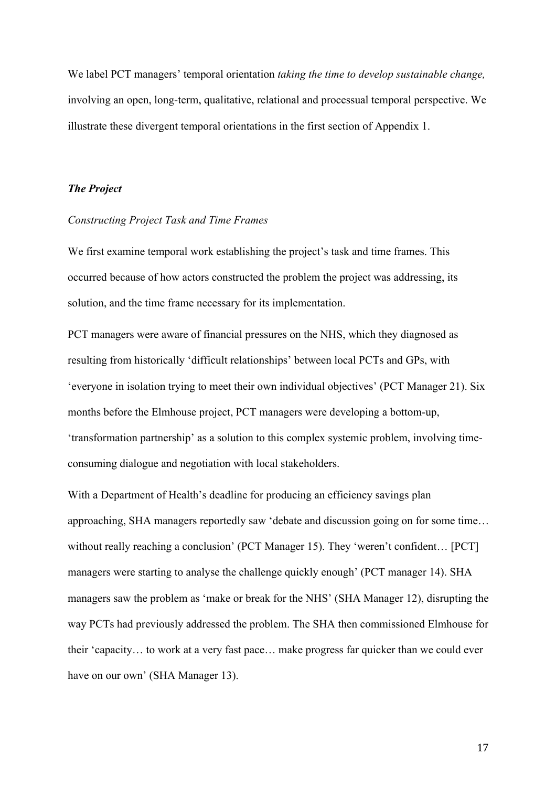We label PCT managers' temporal orientation *taking the time to develop sustainable change,*  involving an open, long-term, qualitative, relational and processual temporal perspective. We illustrate these divergent temporal orientations in the first section of Appendix 1.

# *The Project*

# *Constructing Project Task and Time Frames*

We first examine temporal work establishing the project's task and time frames. This occurred because of how actors constructed the problem the project was addressing, its solution, and the time frame necessary for its implementation.

PCT managers were aware of financial pressures on the NHS, which they diagnosed as resulting from historically 'difficult relationships' between local PCTs and GPs, with 'everyone in isolation trying to meet their own individual objectives' (PCT Manager 21). Six months before the Elmhouse project, PCT managers were developing a bottom-up, 'transformation partnership' as a solution to this complex systemic problem, involving timeconsuming dialogue and negotiation with local stakeholders.

With a Department of Health's deadline for producing an efficiency savings plan approaching, SHA managers reportedly saw 'debate and discussion going on for some time… without really reaching a conclusion' (PCT Manager 15). They 'weren't confident... [PCT] managers were starting to analyse the challenge quickly enough' (PCT manager 14). SHA managers saw the problem as 'make or break for the NHS' (SHA Manager 12), disrupting the way PCTs had previously addressed the problem. The SHA then commissioned Elmhouse for their 'capacity… to work at a very fast pace… make progress far quicker than we could ever have on our own' (SHA Manager 13).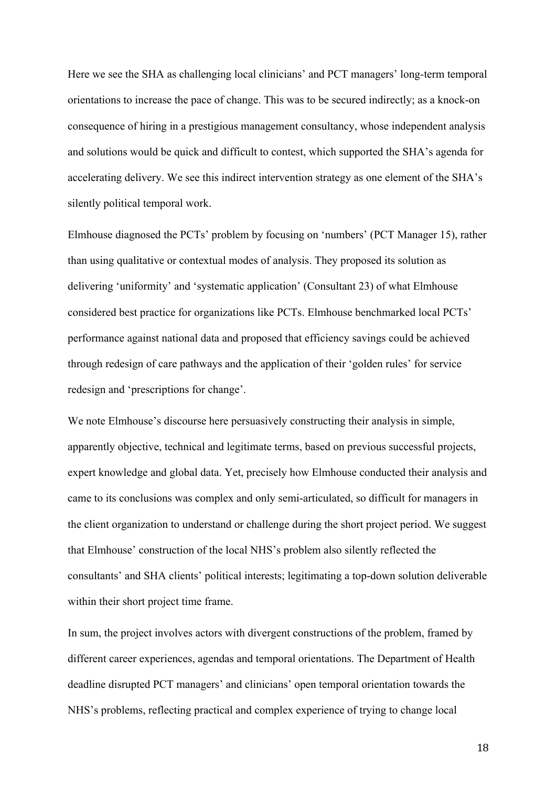Here we see the SHA as challenging local clinicians' and PCT managers' long-term temporal orientations to increase the pace of change. This was to be secured indirectly; as a knock-on consequence of hiring in a prestigious management consultancy, whose independent analysis and solutions would be quick and difficult to contest, which supported the SHA's agenda for accelerating delivery. We see this indirect intervention strategy as one element of the SHA's silently political temporal work.

Elmhouse diagnosed the PCTs' problem by focusing on 'numbers' (PCT Manager 15), rather than using qualitative or contextual modes of analysis. They proposed its solution as delivering 'uniformity' and 'systematic application' (Consultant 23) of what Elmhouse considered best practice for organizations like PCTs. Elmhouse benchmarked local PCTs' performance against national data and proposed that efficiency savings could be achieved through redesign of care pathways and the application of their 'golden rules' for service redesign and 'prescriptions for change'.

We note Elmhouse's discourse here persuasively constructing their analysis in simple, apparently objective, technical and legitimate terms, based on previous successful projects, expert knowledge and global data. Yet, precisely how Elmhouse conducted their analysis and came to its conclusions was complex and only semi-articulated, so difficult for managers in the client organization to understand or challenge during the short project period. We suggest that Elmhouse' construction of the local NHS's problem also silently reflected the consultants' and SHA clients' political interests; legitimating a top-down solution deliverable within their short project time frame.

In sum, the project involves actors with divergent constructions of the problem, framed by different career experiences, agendas and temporal orientations. The Department of Health deadline disrupted PCT managers' and clinicians' open temporal orientation towards the NHS's problems, reflecting practical and complex experience of trying to change local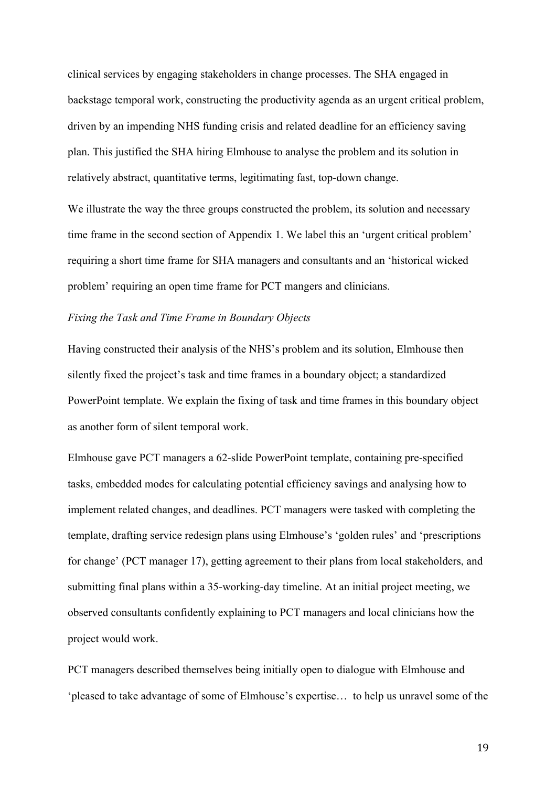clinical services by engaging stakeholders in change processes. The SHA engaged in backstage temporal work, constructing the productivity agenda as an urgent critical problem, driven by an impending NHS funding crisis and related deadline for an efficiency saving plan. This justified the SHA hiring Elmhouse to analyse the problem and its solution in relatively abstract, quantitative terms, legitimating fast, top-down change.

We illustrate the way the three groups constructed the problem, its solution and necessary time frame in the second section of Appendix 1. We label this an 'urgent critical problem' requiring a short time frame for SHA managers and consultants and an 'historical wicked problem' requiring an open time frame for PCT mangers and clinicians.

# *Fixing the Task and Time Frame in Boundary Objects*

Having constructed their analysis of the NHS's problem and its solution, Elmhouse then silently fixed the project's task and time frames in a boundary object; a standardized PowerPoint template. We explain the fixing of task and time frames in this boundary object as another form of silent temporal work.

Elmhouse gave PCT managers a 62-slide PowerPoint template, containing pre-specified tasks, embedded modes for calculating potential efficiency savings and analysing how to implement related changes, and deadlines. PCT managers were tasked with completing the template, drafting service redesign plans using Elmhouse's 'golden rules' and 'prescriptions for change' (PCT manager 17), getting agreement to their plans from local stakeholders, and submitting final plans within a 35-working-day timeline. At an initial project meeting, we observed consultants confidently explaining to PCT managers and local clinicians how the project would work.

PCT managers described themselves being initially open to dialogue with Elmhouse and 'pleased to take advantage of some of Elmhouse's expertise… to help us unravel some of the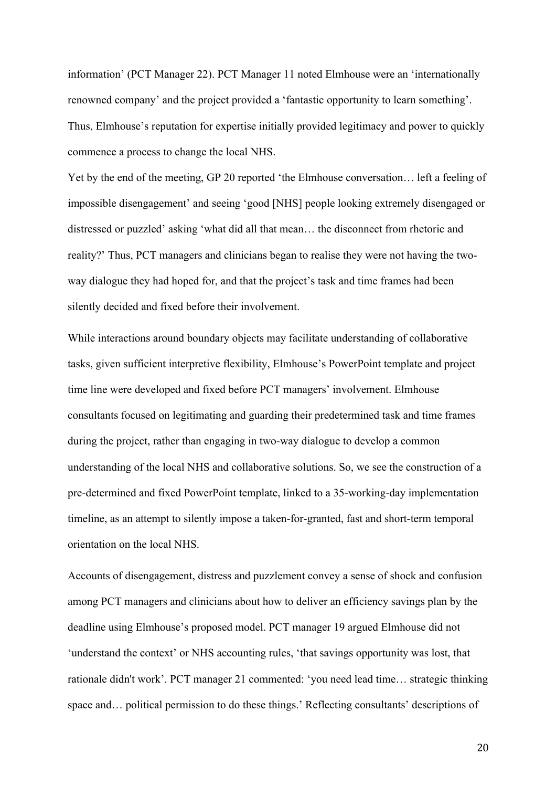information' (PCT Manager 22). PCT Manager 11 noted Elmhouse were an 'internationally renowned company' and the project provided a 'fantastic opportunity to learn something'. Thus, Elmhouse's reputation for expertise initially provided legitimacy and power to quickly commence a process to change the local NHS.

Yet by the end of the meeting, GP 20 reported 'the Elmhouse conversation… left a feeling of impossible disengagement' and seeing 'good [NHS] people looking extremely disengaged or distressed or puzzled' asking 'what did all that mean… the disconnect from rhetoric and reality?' Thus, PCT managers and clinicians began to realise they were not having the twoway dialogue they had hoped for, and that the project's task and time frames had been silently decided and fixed before their involvement.

While interactions around boundary objects may facilitate understanding of collaborative tasks, given sufficient interpretive flexibility, Elmhouse's PowerPoint template and project time line were developed and fixed before PCT managers' involvement. Elmhouse consultants focused on legitimating and guarding their predetermined task and time frames during the project, rather than engaging in two-way dialogue to develop a common understanding of the local NHS and collaborative solutions. So, we see the construction of a pre-determined and fixed PowerPoint template, linked to a 35-working-day implementation timeline, as an attempt to silently impose a taken-for-granted, fast and short-term temporal orientation on the local NHS.

Accounts of disengagement, distress and puzzlement convey a sense of shock and confusion among PCT managers and clinicians about how to deliver an efficiency savings plan by the deadline using Elmhouse's proposed model. PCT manager 19 argued Elmhouse did not 'understand the context' or NHS accounting rules, 'that savings opportunity was lost, that rationale didn't work'. PCT manager 21 commented: 'you need lead time… strategic thinking space and… political permission to do these things.' Reflecting consultants' descriptions of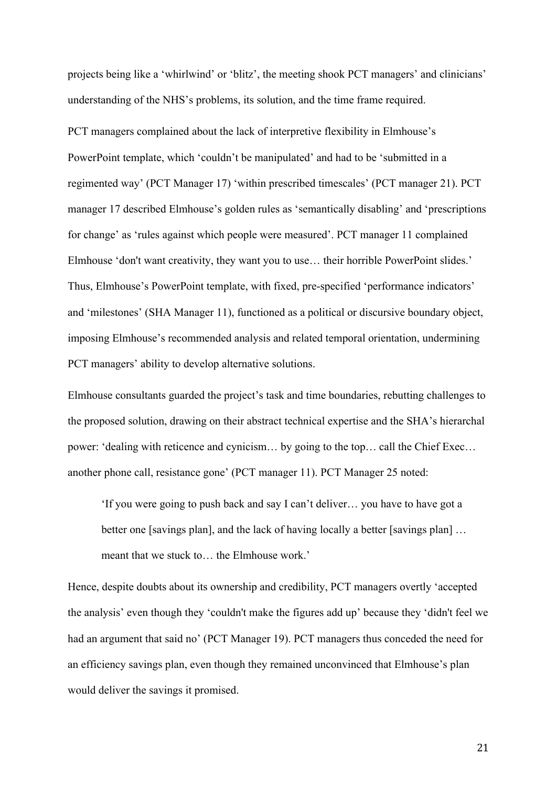projects being like a 'whirlwind' or 'blitz', the meeting shook PCT managers' and clinicians' understanding of the NHS's problems, its solution, and the time frame required.

PCT managers complained about the lack of interpretive flexibility in Elmhouse's PowerPoint template, which 'couldn't be manipulated' and had to be 'submitted in a regimented way' (PCT Manager 17) 'within prescribed timescales' (PCT manager 21). PCT manager 17 described Elmhouse's golden rules as 'semantically disabling' and 'prescriptions for change' as 'rules against which people were measured'. PCT manager 11 complained Elmhouse 'don't want creativity, they want you to use… their horrible PowerPoint slides.' Thus, Elmhouse's PowerPoint template, with fixed, pre-specified 'performance indicators' and 'milestones' (SHA Manager 11), functioned as a political or discursive boundary object, imposing Elmhouse's recommended analysis and related temporal orientation, undermining PCT managers' ability to develop alternative solutions.

Elmhouse consultants guarded the project's task and time boundaries, rebutting challenges to the proposed solution, drawing on their abstract technical expertise and the SHA's hierarchal power: 'dealing with reticence and cynicism… by going to the top… call the Chief Exec… another phone call, resistance gone' (PCT manager 11). PCT Manager 25 noted:

'If you were going to push back and say I can't deliver… you have to have got a better one [savings plan], and the lack of having locally a better [savings plan] ... meant that we stuck to… the Elmhouse work.'

Hence, despite doubts about its ownership and credibility, PCT managers overtly 'accepted the analysis' even though they 'couldn't make the figures add up' because they 'didn't feel we had an argument that said no' (PCT Manager 19). PCT managers thus conceded the need for an efficiency savings plan, even though they remained unconvinced that Elmhouse's plan would deliver the savings it promised.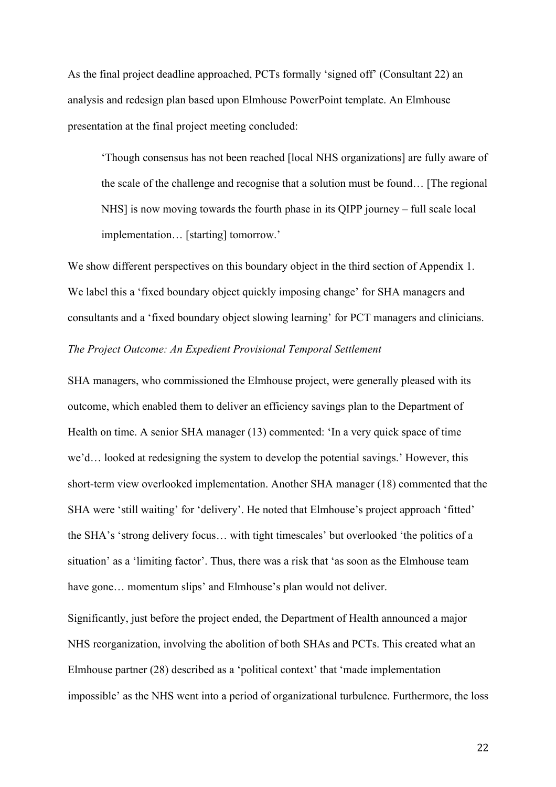As the final project deadline approached, PCTs formally 'signed off' (Consultant 22) an analysis and redesign plan based upon Elmhouse PowerPoint template. An Elmhouse presentation at the final project meeting concluded:

'Though consensus has not been reached [local NHS organizations] are fully aware of the scale of the challenge and recognise that a solution must be found… [The regional NHS] is now moving towards the fourth phase in its QIPP journey – full scale local implementation… [starting] tomorrow.'

We show different perspectives on this boundary object in the third section of Appendix 1. We label this a 'fixed boundary object quickly imposing change' for SHA managers and consultants and a 'fixed boundary object slowing learning' for PCT managers and clinicians.

# *The Project Outcome: An Expedient Provisional Temporal Settlement*

SHA managers, who commissioned the Elmhouse project, were generally pleased with its outcome, which enabled them to deliver an efficiency savings plan to the Department of Health on time. A senior SHA manager (13) commented: 'In a very quick space of time we'd… looked at redesigning the system to develop the potential savings.' However, this short-term view overlooked implementation. Another SHA manager (18) commented that the SHA were 'still waiting' for 'delivery'. He noted that Elmhouse's project approach 'fitted' the SHA's 'strong delivery focus… with tight timescales' but overlooked 'the politics of a situation' as a 'limiting factor'. Thus, there was a risk that 'as soon as the Elmhouse team have gone... momentum slips' and Elmhouse's plan would not deliver.

Significantly, just before the project ended, the Department of Health announced a major NHS reorganization, involving the abolition of both SHAs and PCTs. This created what an Elmhouse partner (28) described as a 'political context' that 'made implementation impossible' as the NHS went into a period of organizational turbulence. Furthermore, the loss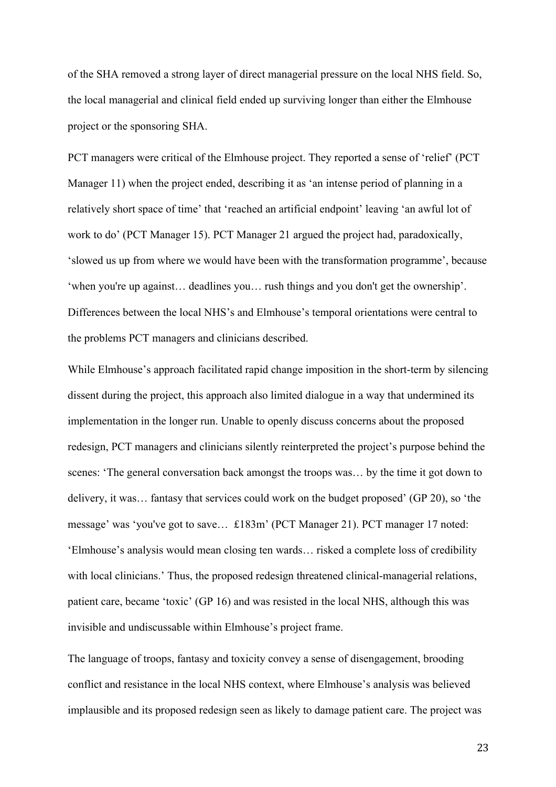of the SHA removed a strong layer of direct managerial pressure on the local NHS field. So, the local managerial and clinical field ended up surviving longer than either the Elmhouse project or the sponsoring SHA.

PCT managers were critical of the Elmhouse project. They reported a sense of 'relief' (PCT Manager 11) when the project ended, describing it as 'an intense period of planning in a relatively short space of time' that 'reached an artificial endpoint' leaving 'an awful lot of work to do' (PCT Manager 15). PCT Manager 21 argued the project had, paradoxically, 'slowed us up from where we would have been with the transformation programme', because 'when you're up against… deadlines you… rush things and you don't get the ownership'. Differences between the local NHS's and Elmhouse's temporal orientations were central to the problems PCT managers and clinicians described.

While Elmhouse's approach facilitated rapid change imposition in the short-term by silencing dissent during the project, this approach also limited dialogue in a way that undermined its implementation in the longer run. Unable to openly discuss concerns about the proposed redesign, PCT managers and clinicians silently reinterpreted the project's purpose behind the scenes: 'The general conversation back amongst the troops was… by the time it got down to delivery, it was… fantasy that services could work on the budget proposed' (GP 20), so 'the message' was 'you've got to save… £183m' (PCT Manager 21). PCT manager 17 noted: 'Elmhouse's analysis would mean closing ten wards… risked a complete loss of credibility with local clinicians.' Thus, the proposed redesign threatened clinical-managerial relations, patient care, became 'toxic' (GP 16) and was resisted in the local NHS, although this was invisible and undiscussable within Elmhouse's project frame.

The language of troops, fantasy and toxicity convey a sense of disengagement, brooding conflict and resistance in the local NHS context, where Elmhouse's analysis was believed implausible and its proposed redesign seen as likely to damage patient care. The project was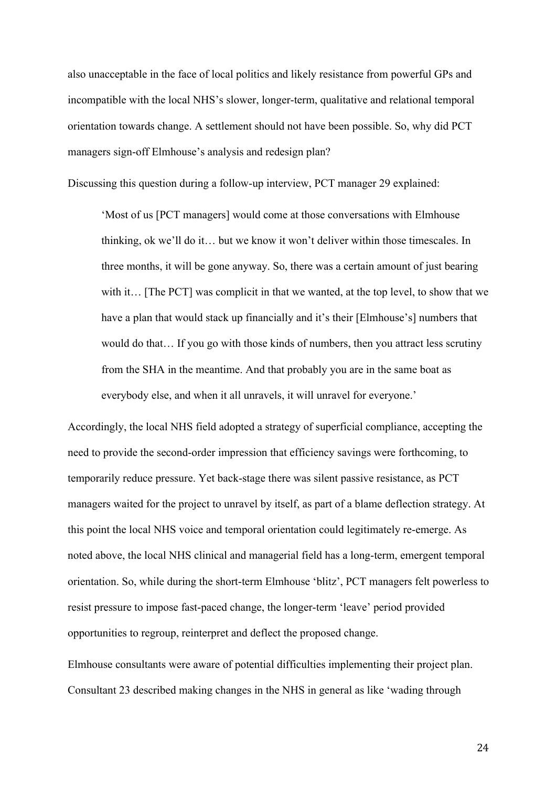also unacceptable in the face of local politics and likely resistance from powerful GPs and incompatible with the local NHS's slower, longer-term, qualitative and relational temporal orientation towards change. A settlement should not have been possible. So, why did PCT managers sign-off Elmhouse's analysis and redesign plan?

Discussing this question during a follow-up interview, PCT manager 29 explained:

'Most of us [PCT managers] would come at those conversations with Elmhouse thinking, ok we'll do it… but we know it won't deliver within those timescales. In three months, it will be gone anyway. So, there was a certain amount of just bearing with it… [The PCT] was complicit in that we wanted, at the top level, to show that we have a plan that would stack up financially and it's their [Elmhouse's] numbers that would do that… If you go with those kinds of numbers, then you attract less scrutiny from the SHA in the meantime. And that probably you are in the same boat as everybody else, and when it all unravels, it will unravel for everyone.'

Accordingly, the local NHS field adopted a strategy of superficial compliance, accepting the need to provide the second-order impression that efficiency savings were forthcoming, to temporarily reduce pressure. Yet back-stage there was silent passive resistance, as PCT managers waited for the project to unravel by itself, as part of a blame deflection strategy. At this point the local NHS voice and temporal orientation could legitimately re-emerge. As noted above, the local NHS clinical and managerial field has a long-term, emergent temporal orientation. So, while during the short-term Elmhouse 'blitz', PCT managers felt powerless to resist pressure to impose fast-paced change, the longer-term 'leave' period provided opportunities to regroup, reinterpret and deflect the proposed change.

Elmhouse consultants were aware of potential difficulties implementing their project plan. Consultant 23 described making changes in the NHS in general as like 'wading through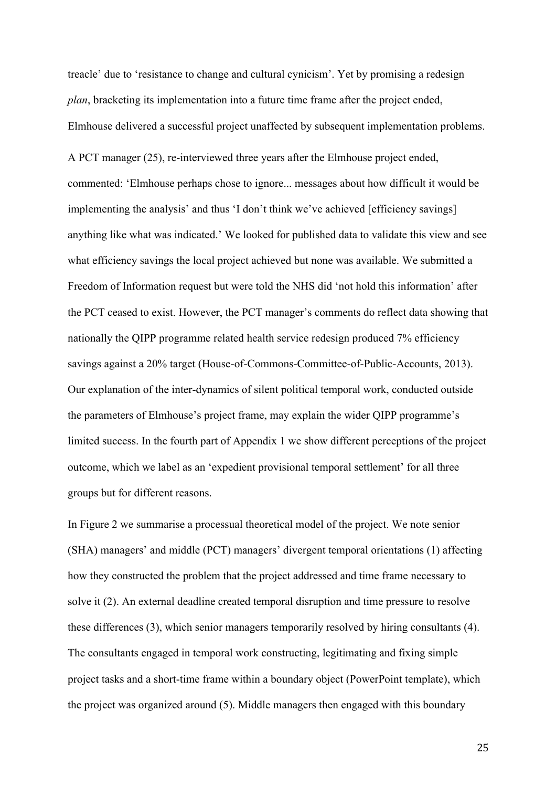treacle' due to 'resistance to change and cultural cynicism'. Yet by promising a redesign *plan*, bracketing its implementation into a future time frame after the project ended, Elmhouse delivered a successful project unaffected by subsequent implementation problems.

A PCT manager (25), re-interviewed three years after the Elmhouse project ended, commented: 'Elmhouse perhaps chose to ignore... messages about how difficult it would be implementing the analysis' and thus 'I don't think we've achieved [efficiency savings] anything like what was indicated.' We looked for published data to validate this view and see what efficiency savings the local project achieved but none was available. We submitted a Freedom of Information request but were told the NHS did 'not hold this information' after the PCT ceased to exist. However, the PCT manager's comments do reflect data showing that nationally the QIPP programme related health service redesign produced 7% efficiency savings against a 20% target (House-of-Commons-Committee-of-Public-Accounts, 2013). Our explanation of the inter-dynamics of silent political temporal work, conducted outside the parameters of Elmhouse's project frame, may explain the wider QIPP programme's limited success. In the fourth part of Appendix 1 we show different perceptions of the project outcome, which we label as an 'expedient provisional temporal settlement' for all three groups but for different reasons.

In Figure 2 we summarise a processual theoretical model of the project. We note senior (SHA) managers' and middle (PCT) managers' divergent temporal orientations (1) affecting how they constructed the problem that the project addressed and time frame necessary to solve it (2). An external deadline created temporal disruption and time pressure to resolve these differences (3), which senior managers temporarily resolved by hiring consultants (4). The consultants engaged in temporal work constructing, legitimating and fixing simple project tasks and a short-time frame within a boundary object (PowerPoint template), which the project was organized around (5). Middle managers then engaged with this boundary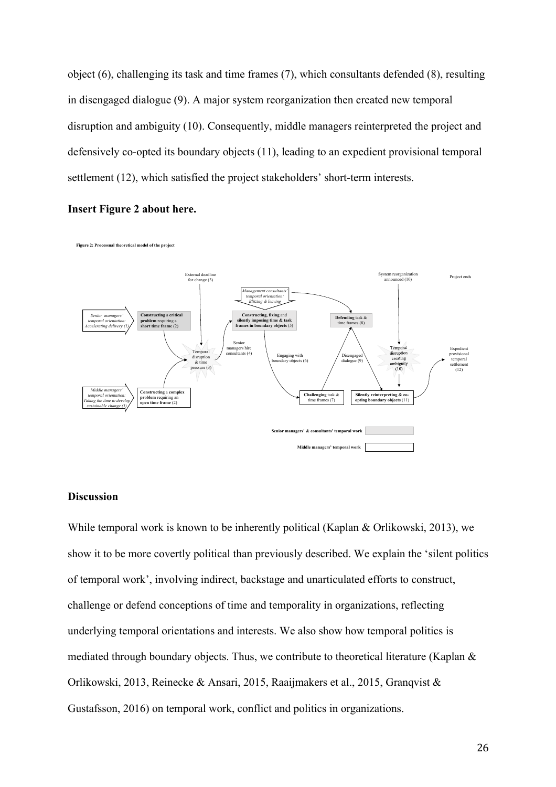object (6), challenging its task and time frames (7), which consultants defended (8), resulting in disengaged dialogue (9). A major system reorganization then created new temporal disruption and ambiguity (10). Consequently, middle managers reinterpreted the project and defensively co-opted its boundary objects (11), leading to an expedient provisional temporal settlement (12), which satisfied the project stakeholders' short-term interests.

#### **Insert Figure 2 about here.**

Figure 2: Processual theoretical model of the project



# **Discussion**

While temporal work is known to be inherently political (Kaplan & Orlikowski, 2013), we show it to be more covertly political than previously described. We explain the 'silent politics of temporal work', involving indirect, backstage and unarticulated efforts to construct, challenge or defend conceptions of time and temporality in organizations, reflecting underlying temporal orientations and interests. We also show how temporal politics is mediated through boundary objects. Thus, we contribute to theoretical literature (Kaplan & Orlikowski, 2013, Reinecke & Ansari, 2015, Raaijmakers et al., 2015, Granqvist & Gustafsson, 2016) on temporal work, conflict and politics in organizations.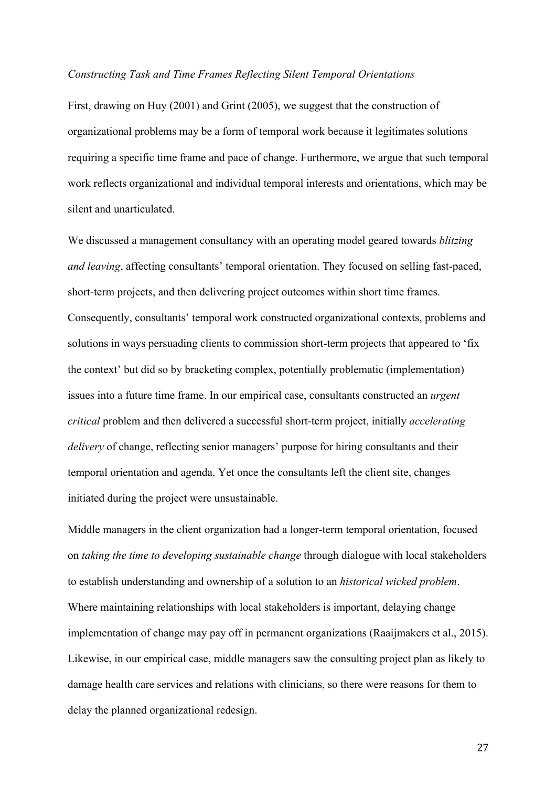# *Constructing Task and Time Frames Reflecting Silent Temporal Orientations*

First, drawing on Huy (2001) and Grint (2005), we suggest that the construction of organizational problems may be a form of temporal work because it legitimates solutions requiring a specific time frame and pace of change. Furthermore, we argue that such temporal work reflects organizational and individual temporal interests and orientations, which may be silent and unarticulated.

We discussed a management consultancy with an operating model geared towards *blitzing and leaving*, affecting consultants' temporal orientation. They focused on selling fast-paced, short-term projects, and then delivering project outcomes within short time frames. Consequently, consultants' temporal work constructed organizational contexts, problems and solutions in ways persuading clients to commission short-term projects that appeared to 'fix the context' but did so by bracketing complex, potentially problematic (implementation) issues into a future time frame. In our empirical case, consultants constructed an *urgent critical* problem and then delivered a successful short-term project, initially *accelerating delivery* of change, reflecting senior managers' purpose for hiring consultants and their temporal orientation and agenda. Yet once the consultants left the client site, changes initiated during the project were unsustainable.

Middle managers in the client organization had a longer-term temporal orientation, focused on *taking the time to developing sustainable change* through dialogue with local stakeholders to establish understanding and ownership of a solution to an *historical wicked problem*. Where maintaining relationships with local stakeholders is important, delaying change implementation of change may pay off in permanent organizations (Raaijmakers et al., 2015). Likewise, in our empirical case, middle managers saw the consulting project plan as likely to damage health care services and relations with clinicians, so there were reasons for them to delay the planned organizational redesign.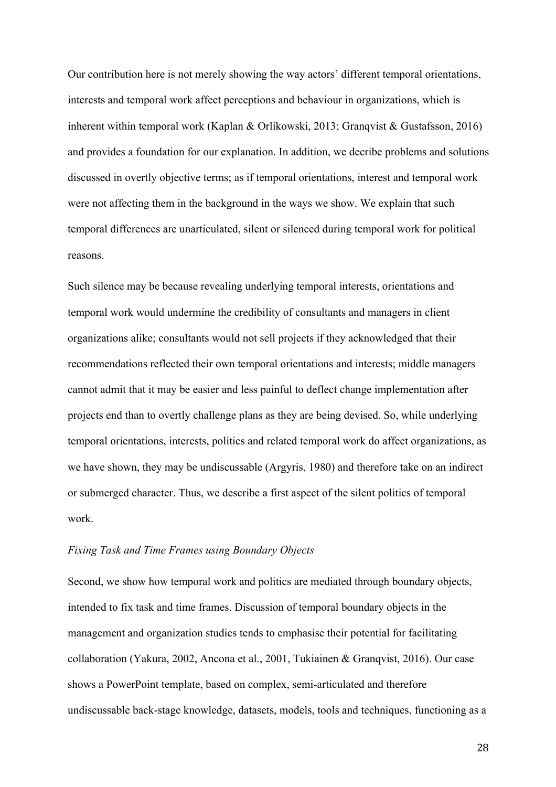Our contribution here is not merely showing the way actors' different temporal orientations, interests and temporal work affect perceptions and behaviour in organizations, which is inherent within temporal work (Kaplan & Orlikowski, 2013; Granqvist & Gustafsson, 2016) and provides a foundation for our explanation. In addition, we decribe problems and solutions discussed in overtly objective terms; as if temporal orientations, interest and temporal work were not affecting them in the background in the ways we show. We explain that such temporal differences are unarticulated, silent or silenced during temporal work for political reasons.

Such silence may be because revealing underlying temporal interests, orientations and temporal work would undermine the credibility of consultants and managers in client organizations alike; consultants would not sell projects if they acknowledged that their recommendations reflected their own temporal orientations and interests; middle managers cannot admit that it may be easier and less painful to deflect change implementation after projects end than to overtly challenge plans as they are being devised. So, while underlying temporal orientations, interests, politics and related temporal work do affect organizations, as we have shown, they may be undiscussable (Argyris, 1980) and therefore take on an indirect or submerged character. Thus, we describe a first aspect of the silent politics of temporal work.

# *Fixing Task and Time Frames using Boundary Objects*

Second, we show how temporal work and politics are mediated through boundary objects, intended to fix task and time frames. Discussion of temporal boundary objects in the management and organization studies tends to emphasise their potential for facilitating collaboration (Yakura, 2002, Ancona et al., 2001, Tukiainen & Granqvist, 2016). Our case shows a PowerPoint template, based on complex, semi-articulated and therefore undiscussable back-stage knowledge, datasets, models, tools and techniques, functioning as a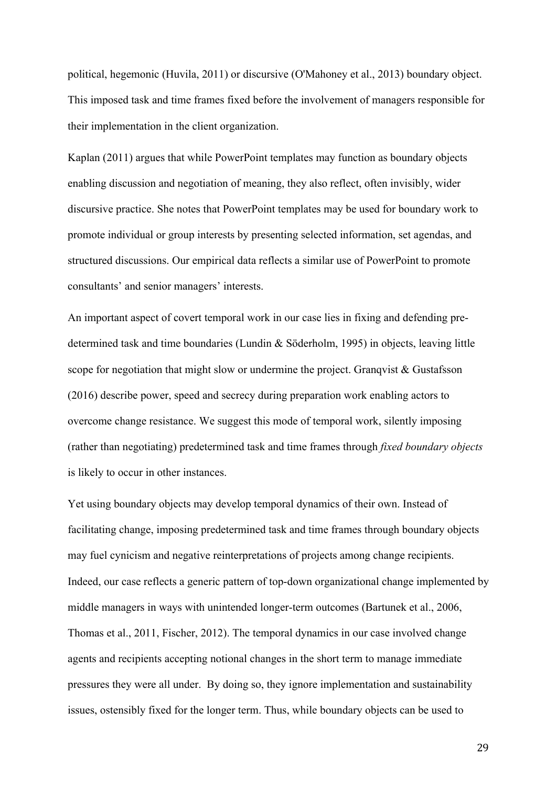political, hegemonic (Huvila, 2011) or discursive (O'Mahoney et al., 2013) boundary object. This imposed task and time frames fixed before the involvement of managers responsible for their implementation in the client organization.

Kaplan (2011) argues that while PowerPoint templates may function as boundary objects enabling discussion and negotiation of meaning, they also reflect, often invisibly, wider discursive practice. She notes that PowerPoint templates may be used for boundary work to promote individual or group interests by presenting selected information, set agendas, and structured discussions. Our empirical data reflects a similar use of PowerPoint to promote consultants' and senior managers' interests.

An important aspect of covert temporal work in our case lies in fixing and defending predetermined task and time boundaries (Lundin & Söderholm, 1995) in objects, leaving little scope for negotiation that might slow or undermine the project. Granqvist  $\&$  Gustafsson (2016) describe power, speed and secrecy during preparation work enabling actors to overcome change resistance. We suggest this mode of temporal work, silently imposing (rather than negotiating) predetermined task and time frames through *fixed boundary objects*  is likely to occur in other instances.

Yet using boundary objects may develop temporal dynamics of their own. Instead of facilitating change, imposing predetermined task and time frames through boundary objects may fuel cynicism and negative reinterpretations of projects among change recipients. Indeed, our case reflects a generic pattern of top-down organizational change implemented by middle managers in ways with unintended longer-term outcomes (Bartunek et al., 2006, Thomas et al., 2011, Fischer, 2012). The temporal dynamics in our case involved change agents and recipients accepting notional changes in the short term to manage immediate pressures they were all under. By doing so, they ignore implementation and sustainability issues, ostensibly fixed for the longer term. Thus, while boundary objects can be used to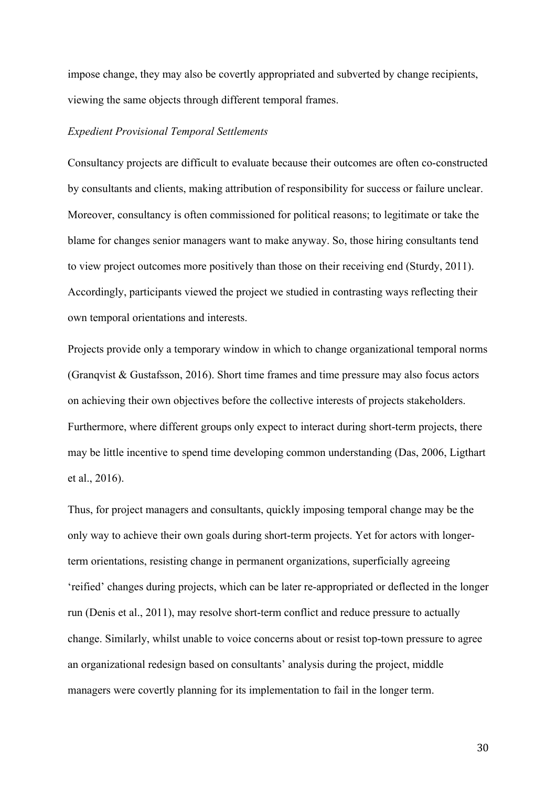impose change, they may also be covertly appropriated and subverted by change recipients, viewing the same objects through different temporal frames.

# *Expedient Provisional Temporal Settlements*

Consultancy projects are difficult to evaluate because their outcomes are often co-constructed by consultants and clients, making attribution of responsibility for success or failure unclear. Moreover, consultancy is often commissioned for political reasons; to legitimate or take the blame for changes senior managers want to make anyway. So, those hiring consultants tend to view project outcomes more positively than those on their receiving end (Sturdy, 2011). Accordingly, participants viewed the project we studied in contrasting ways reflecting their own temporal orientations and interests.

Projects provide only a temporary window in which to change organizational temporal norms (Granqvist & Gustafsson, 2016). Short time frames and time pressure may also focus actors on achieving their own objectives before the collective interests of projects stakeholders. Furthermore, where different groups only expect to interact during short-term projects, there may be little incentive to spend time developing common understanding (Das, 2006, Ligthart et al., 2016).

Thus, for project managers and consultants, quickly imposing temporal change may be the only way to achieve their own goals during short-term projects. Yet for actors with longerterm orientations, resisting change in permanent organizations, superficially agreeing 'reified' changes during projects, which can be later re-appropriated or deflected in the longer run (Denis et al., 2011), may resolve short-term conflict and reduce pressure to actually change. Similarly, whilst unable to voice concerns about or resist top-town pressure to agree an organizational redesign based on consultants' analysis during the project, middle managers were covertly planning for its implementation to fail in the longer term.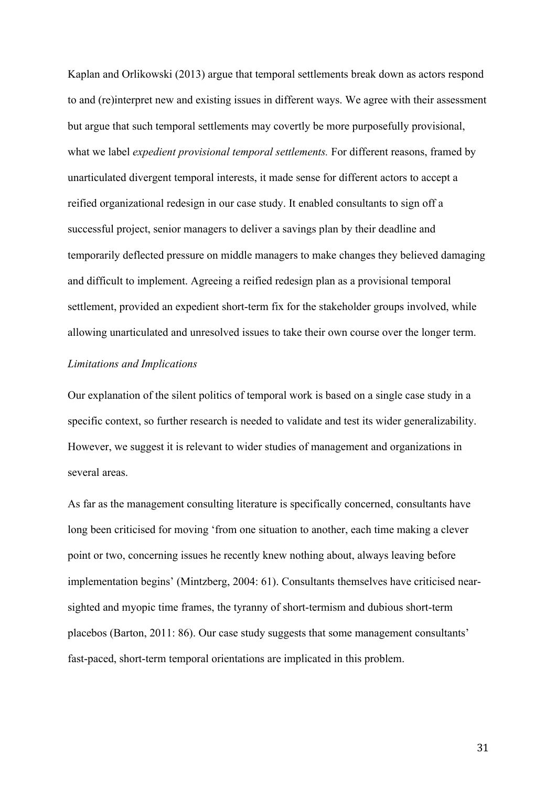Kaplan and Orlikowski (2013) argue that temporal settlements break down as actors respond to and (re)interpret new and existing issues in different ways. We agree with their assessment but argue that such temporal settlements may covertly be more purposefully provisional, what we label *expedient provisional temporal settlements.* For different reasons, framed by unarticulated divergent temporal interests, it made sense for different actors to accept a reified organizational redesign in our case study. It enabled consultants to sign off a successful project, senior managers to deliver a savings plan by their deadline and temporarily deflected pressure on middle managers to make changes they believed damaging and difficult to implement. Agreeing a reified redesign plan as a provisional temporal settlement, provided an expedient short-term fix for the stakeholder groups involved, while allowing unarticulated and unresolved issues to take their own course over the longer term.

# *Limitations and Implications*

Our explanation of the silent politics of temporal work is based on a single case study in a specific context, so further research is needed to validate and test its wider generalizability. However, we suggest it is relevant to wider studies of management and organizations in several areas.

As far as the management consulting literature is specifically concerned, consultants have long been criticised for moving 'from one situation to another, each time making a clever point or two, concerning issues he recently knew nothing about, always leaving before implementation begins' (Mintzberg, 2004: 61). Consultants themselves have criticised nearsighted and myopic time frames, the tyranny of short-termism and dubious short-term placebos (Barton, 2011: 86). Our case study suggests that some management consultants' fast-paced, short-term temporal orientations are implicated in this problem.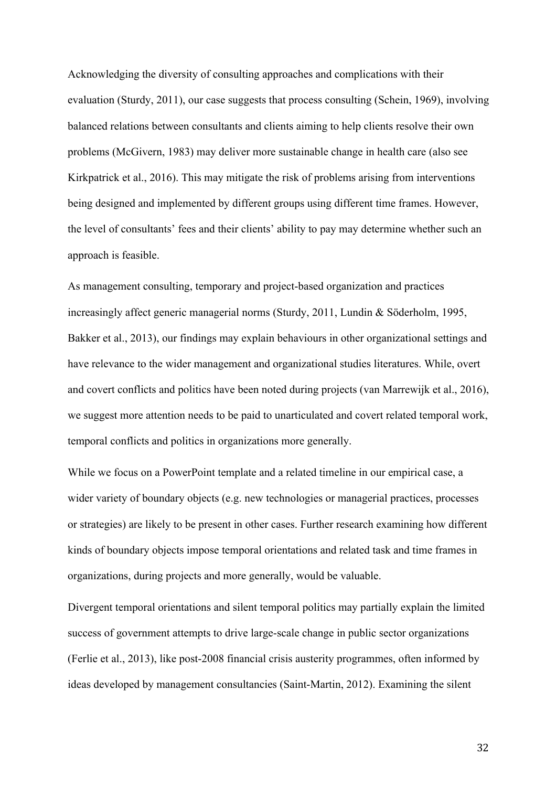Acknowledging the diversity of consulting approaches and complications with their evaluation (Sturdy, 2011), our case suggests that process consulting (Schein, 1969), involving balanced relations between consultants and clients aiming to help clients resolve their own problems (McGivern, 1983) may deliver more sustainable change in health care (also see Kirkpatrick et al., 2016). This may mitigate the risk of problems arising from interventions being designed and implemented by different groups using different time frames. However, the level of consultants' fees and their clients' ability to pay may determine whether such an approach is feasible.

As management consulting, temporary and project-based organization and practices increasingly affect generic managerial norms (Sturdy, 2011, Lundin & Söderholm, 1995, Bakker et al., 2013), our findings may explain behaviours in other organizational settings and have relevance to the wider management and organizational studies literatures. While, overt and covert conflicts and politics have been noted during projects (van Marrewijk et al., 2016), we suggest more attention needs to be paid to unarticulated and covert related temporal work, temporal conflicts and politics in organizations more generally.

While we focus on a PowerPoint template and a related timeline in our empirical case, a wider variety of boundary objects (e.g. new technologies or managerial practices, processes or strategies) are likely to be present in other cases. Further research examining how different kinds of boundary objects impose temporal orientations and related task and time frames in organizations, during projects and more generally, would be valuable.

Divergent temporal orientations and silent temporal politics may partially explain the limited success of government attempts to drive large-scale change in public sector organizations (Ferlie et al., 2013), like post-2008 financial crisis austerity programmes, often informed by ideas developed by management consultancies (Saint-Martin, 2012). Examining the silent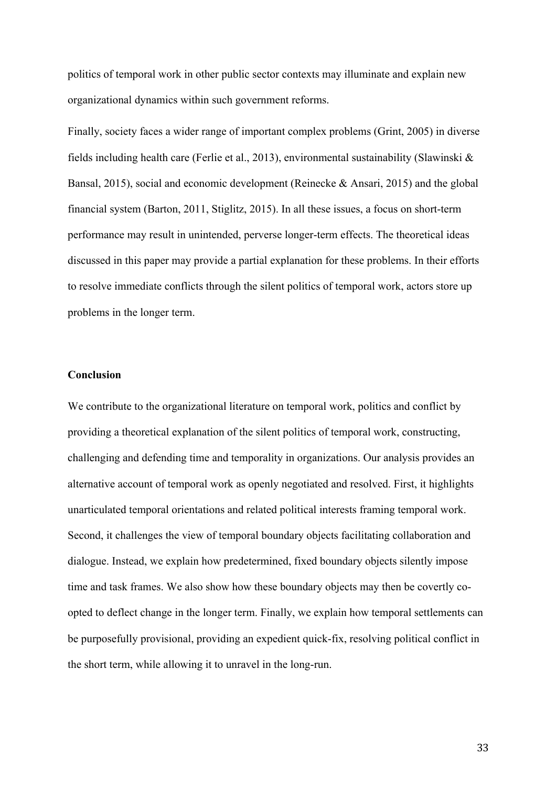politics of temporal work in other public sector contexts may illuminate and explain new organizational dynamics within such government reforms.

Finally, society faces a wider range of important complex problems (Grint, 2005) in diverse fields including health care (Ferlie et al., 2013), environmental sustainability (Slawinski & Bansal, 2015), social and economic development (Reinecke & Ansari, 2015) and the global financial system (Barton, 2011, Stiglitz, 2015). In all these issues, a focus on short-term performance may result in unintended, perverse longer-term effects. The theoretical ideas discussed in this paper may provide a partial explanation for these problems. In their efforts to resolve immediate conflicts through the silent politics of temporal work, actors store up problems in the longer term.

# **Conclusion**

We contribute to the organizational literature on temporal work, politics and conflict by providing a theoretical explanation of the silent politics of temporal work, constructing, challenging and defending time and temporality in organizations. Our analysis provides an alternative account of temporal work as openly negotiated and resolved. First, it highlights unarticulated temporal orientations and related political interests framing temporal work. Second, it challenges the view of temporal boundary objects facilitating collaboration and dialogue. Instead, we explain how predetermined, fixed boundary objects silently impose time and task frames. We also show how these boundary objects may then be covertly coopted to deflect change in the longer term. Finally, we explain how temporal settlements can be purposefully provisional, providing an expedient quick-fix, resolving political conflict in the short term, while allowing it to unravel in the long-run.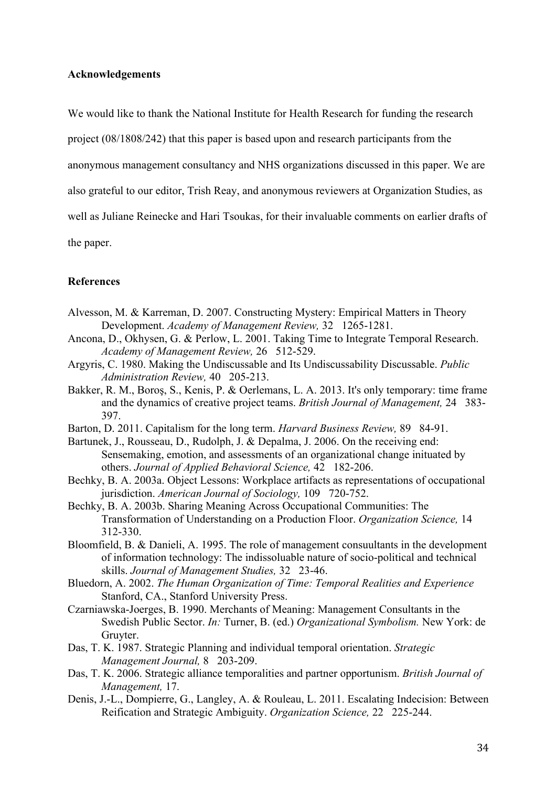# **Acknowledgements**

We would like to thank the National Institute for Health Research for funding the research

project (08/1808/242) that this paper is based upon and research participants from the

anonymous management consultancy and NHS organizations discussed in this paper. We are

also grateful to our editor, Trish Reay, and anonymous reviewers at Organization Studies, as

well as Juliane Reinecke and Hari Tsoukas, for their invaluable comments on earlier drafts of

the paper.

# **References**

- Alvesson, M. & Karreman, D. 2007. Constructing Mystery: Empirical Matters in Theory Development. *Academy of Management Review,* 321265-1281.
- Ancona, D., Okhysen, G. & Perlow, L. 2001. Taking Time to Integrate Temporal Research. *Academy of Management Review,* 26512-529.
- Argyris, C. 1980. Making the Undiscussable and Its Undiscussability Discussable. *Public Administration Review,* 40205-213.
- Bakker, R. M., Boroş, S., Kenis, P. & Oerlemans, L. A. 2013. It's only temporary: time frame and the dynamics of creative project teams. *British Journal of Management,* 24383- 397.
- Barton, D. 2011. Capitalism for the long term. *Harvard Business Review,* 8984-91.
- Bartunek, J., Rousseau, D., Rudolph, J. & Depalma, J. 2006. On the receiving end: Sensemaking, emotion, and assessments of an organizational change inituated by others. *Journal of Applied Behavioral Science,* 42182-206.
- Bechky, B. A. 2003a. Object Lessons: Workplace artifacts as representations of occupational jurisdiction. *American Journal of Sociology,* 109720-752.
- Bechky, B. A. 2003b. Sharing Meaning Across Occupational Communities: The Transformation of Understanding on a Production Floor. *Organization Science,* 14 312-330.
- Bloomfield, B. & Danieli, A. 1995. The role of management consuultants in the development of information technology: The indissoluable nature of socio-political and technical skills. *Journal of Management Studies,* 3223-46.
- Bluedorn, A. 2002. *The Human Organization of Time: Temporal Realities and Experience*  Stanford, CA., Stanford University Press.
- Czarniawska-Joerges, B. 1990. Merchants of Meaning: Management Consultants in the Swedish Public Sector. *In:* Turner, B. (ed.) *Organizational Symbolism.* New York: de Gruyter.
- Das, T. K. 1987. Strategic Planning and individual temporal orientation. *Strategic Management Journal,* 8203-209.
- Das, T. K. 2006. Strategic alliance temporalities and partner opportunism. *British Journal of Management,* 17.
- Denis, J.-L., Dompierre, G., Langley, A. & Rouleau, L. 2011. Escalating Indecision: Between Reification and Strategic Ambiguity. *Organization Science,* 22225-244.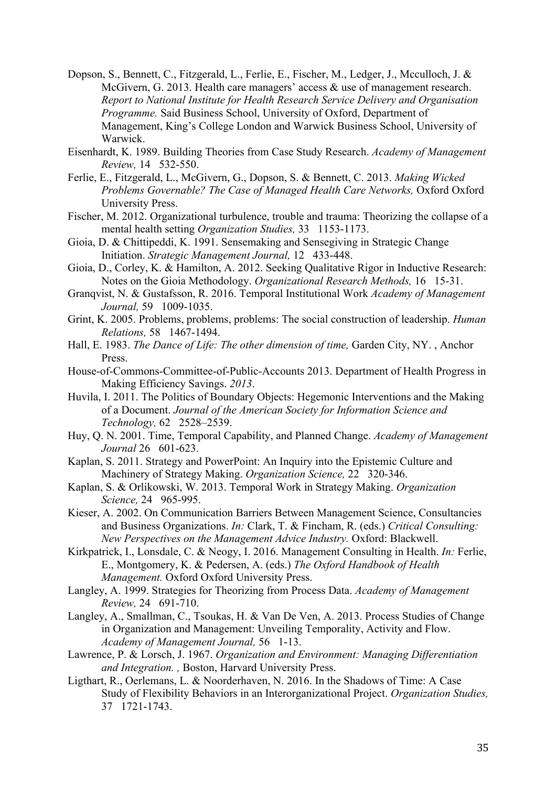- Dopson, S., Bennett, C., Fitzgerald, L., Ferlie, E., Fischer, M., Ledger, J., Mcculloch, J. & McGivern, G. 2013. Health care managers' access & use of management research. *Report to National Institute for Health Research Service Delivery and Organisation Programme.* Said Business School, University of Oxford, Department of Management, King's College London and Warwick Business School, University of Warwick.
- Eisenhardt, K. 1989. Building Theories from Case Study Research. *Academy of Management Review,* 14532-550.
- Ferlie, E., Fitzgerald, L., McGivern, G., Dopson, S. & Bennett, C. 2013. *Making Wicked Problems Governable? The Case of Managed Health Care Networks,* Oxford Oxford University Press.
- Fischer, M. 2012. Organizational turbulence, trouble and trauma: Theorizing the collapse of a mental health setting *Organization Studies,* 331153-1173.
- Gioia, D. & Chittipeddi, K. 1991. Sensemaking and Sensegiving in Strategic Change Initiation. *Strategic Management Journal,* 12433-448.
- Gioia, D., Corley, K. & Hamilton, A. 2012. Seeking Qualitative Rigor in Inductive Research: Notes on the Gioia Methodology. *Organizational Research Methods,* 1615-31.
- Granqvist, N. & Gustafsson, R. 2016. Temporal Institutional Work *Academy of Management Journal,* 591009-1035.
- Grint, K. 2005. Problems, problems, problems: The social construction of leadership. *Human Relations,* 581467-1494.
- Hall, E. 1983. *The Dance of Life: The other dimension of time,* Garden City, NY. , Anchor Press.
- House-of-Commons-Committee-of-Public-Accounts 2013. Department of Health Progress in Making Efficiency Savings. *2013*.
- Huvila, I. 2011. The Politics of Boundary Objects: Hegemonic Interventions and the Making of a Document. *Journal of the American Society for Information Science and Technology,* 622528–2539.
- Huy, Q. N. 2001. Time, Temporal Capability, and Planned Change. *Academy of Management Journal* 26601-623.
- Kaplan, S. 2011. Strategy and PowerPoint: An Inquiry into the Epistemic Culture and Machinery of Strategy Making. *Organization Science,* 22320-346.
- Kaplan, S. & Orlikowski, W. 2013. Temporal Work in Strategy Making. *Organization Science,* 24965-995.
- Kieser, A. 2002. On Communication Barriers Between Management Science, Consultancies and Business Organizations. *In:* Clark, T. & Fincham, R. (eds.) *Critical Consulting: New Perspectives on the Management Advice Industry.* Oxford: Blackwell.
- Kirkpatrick, I., Lonsdale, C. & Neogy, I. 2016. Management Consulting in Health. *In:* Ferlie, E., Montgomery, K. & Pedersen, A. (eds.) *The Oxford Handbook of Health Management.* Oxford Oxford University Press.
- Langley, A. 1999. Strategies for Theorizing from Process Data. *Academy of Management Review,* 24691-710.
- Langley, A., Smallman, C., Tsoukas, H. & Van De Ven, A. 2013. Process Studies of Change in Organization and Management: Unveiling Temporality, Activity and Flow. *Academy of Management Journal,* 561-13.
- Lawrence, P. & Lorsch, J. 1967. *Organization and Environment: Managing Differentiation and Integration. ,* Boston, Harvard University Press.
- Ligthart, R., Oerlemans, L. & Noorderhaven, N. 2016. In the Shadows of Time: A Case Study of Flexibility Behaviors in an Interorganizational Project. *Organization Studies,* 371721-1743.